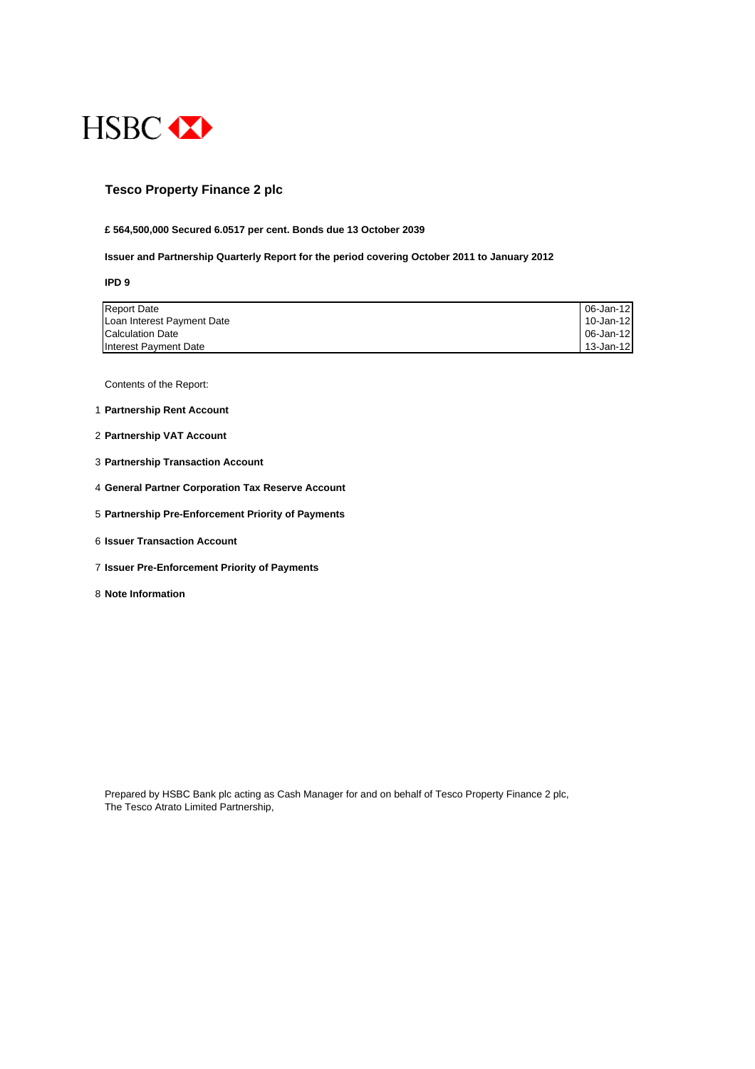

### **Tesco Property Finance 2 plc**

#### **£ 564,500,000 Secured 6.0517 per cent. Bonds due 13 October 2039**

#### **Issuer and Partnership Quarterly Report for the period covering October 2011 to January 2012**

**IPD 9**

| <b>Report Date</b>         | 06-Jan-12   |
|----------------------------|-------------|
| Loan Interest Payment Date | 10-Jan-12   |
| <b>Calculation Date</b>    | 06-Jan-12 I |
| Interest Payment Date      | 13-Jan-12   |

Contents of the Report:

- 1 **Partnership Rent Account**
- 2 **Partnership VAT Account**
- 3 **Partnership Transaction Account**
- 4 **General Partner Corporation Tax Reserve Account**
- 5 **Partnership Pre-Enforcement Priority of Payments**
- 6 **Issuer Transaction Account**
- 7 **Issuer Pre-Enforcement Priority of Payments**
- 8 **Note Information**

Prepared by HSBC Bank plc acting as Cash Manager for and on behalf of Tesco Property Finance 2 plc, The Tesco Atrato Limited Partnership,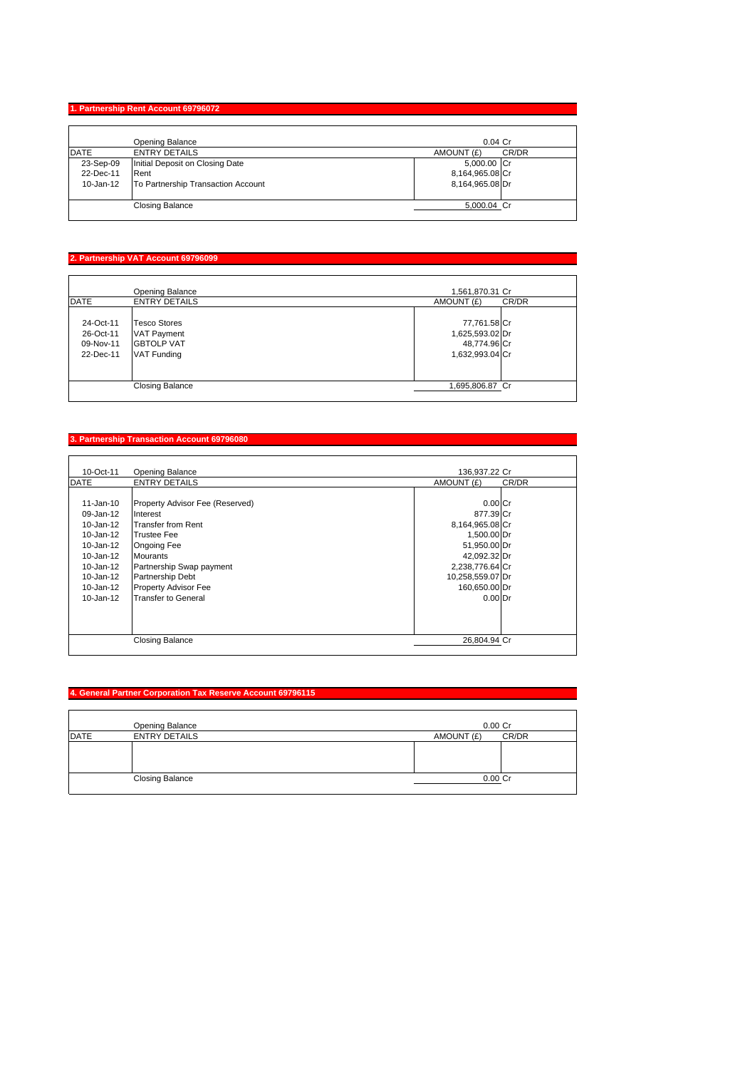# **1. Partnership Rent Account 69796072**

|             | Opening Balance                    | $0.04$ Cr           |
|-------------|------------------------------------|---------------------|
| <b>DATE</b> | <b>ENTRY DETAILS</b>               | CR/DR<br>AMOUNT (£) |
| 23-Sep-09   | Initial Deposit on Closing Date    | 5,000.00 Cr         |
| 22-Dec-11   | <b>Rent</b>                        | 8,164,965.08 Cr     |
| 10-Jan-12   | To Partnership Transaction Account | 8,164,965.08 Dr     |
|             | <b>Closing Balance</b>             | 5,000.04 Cr         |

# **2. Partnership VAT Account 69796099**

|             | Opening Balance        | 1,561,870.31 Cr     |
|-------------|------------------------|---------------------|
| <b>DATE</b> | <b>ENTRY DETAILS</b>   | AMOUNT (£)<br>CR/DR |
|             |                        |                     |
| 24-Oct-11   | <b>Tesco Stores</b>    | 77,761.58 Cr        |
| 26-Oct-11   | <b>VAT Payment</b>     | 1,625,593.02 Dr     |
| 09-Nov-11   | <b>GBTOLP VAT</b>      | 48,774.96 Cr        |
| 22-Dec-11   | <b>VAT Funding</b>     | 1,632,993.04 Cr     |
|             |                        |                     |
|             |                        |                     |
|             | <b>Closing Balance</b> | 1,695,806.87 Cr     |

#### **3. Partnership Transaction Account 69796080**

| 10-Oct-11     | <b>Opening Balance</b>          | 136.937.22 Cr    |       |
|---------------|---------------------------------|------------------|-------|
| <b>DATE</b>   | <b>ENTRY DETAILS</b>            | AMOUNT (£)       | CR/DR |
|               |                                 |                  |       |
| $11 - Jan-10$ | Property Advisor Fee (Reserved) | $0.00$ Cr        |       |
| $09 - Jan-12$ | Interest                        | 877.39 Cr        |       |
| $10 - Jan-12$ | Transfer from Rent              | 8,164,965.08 Cr  |       |
| $10 - Jan-12$ | <b>Trustee Fee</b>              | 1,500.00 Dr      |       |
| $10 - Jan-12$ | Ongoing Fee                     | 51,950.00 Dr     |       |
| $10 - Jan-12$ | <b>Mourants</b>                 | 42,092.32 Dr     |       |
| $10 - Jan-12$ | Partnership Swap payment        | 2,238,776.64 Cr  |       |
| 10-Jan-12     | Partnership Debt                | 10,258,559.07 Dr |       |
| 10-Jan-12     | <b>Property Advisor Fee</b>     | 160,650.00 Dr    |       |
| $10 - Jan-12$ | <b>Transfer to General</b>      | $0.00$ Dr        |       |
|               |                                 |                  |       |
|               |                                 |                  |       |
|               |                                 |                  |       |
|               | <b>Closing Balance</b>          | 26.804.94 Cr     |       |
|               |                                 |                  |       |

# **4. General Partner Corporation Tax Reserve Account 69796115**

|             | Opening Balance        | $0.00$ $Cr$         |
|-------------|------------------------|---------------------|
| <b>DATE</b> | <b>ENTRY DETAILS</b>   | CR/DR<br>AMOUNT (£) |
|             |                        |                     |
|             |                        |                     |
|             |                        |                     |
|             | <b>Closing Balance</b> | $0.00C$ r           |
|             |                        |                     |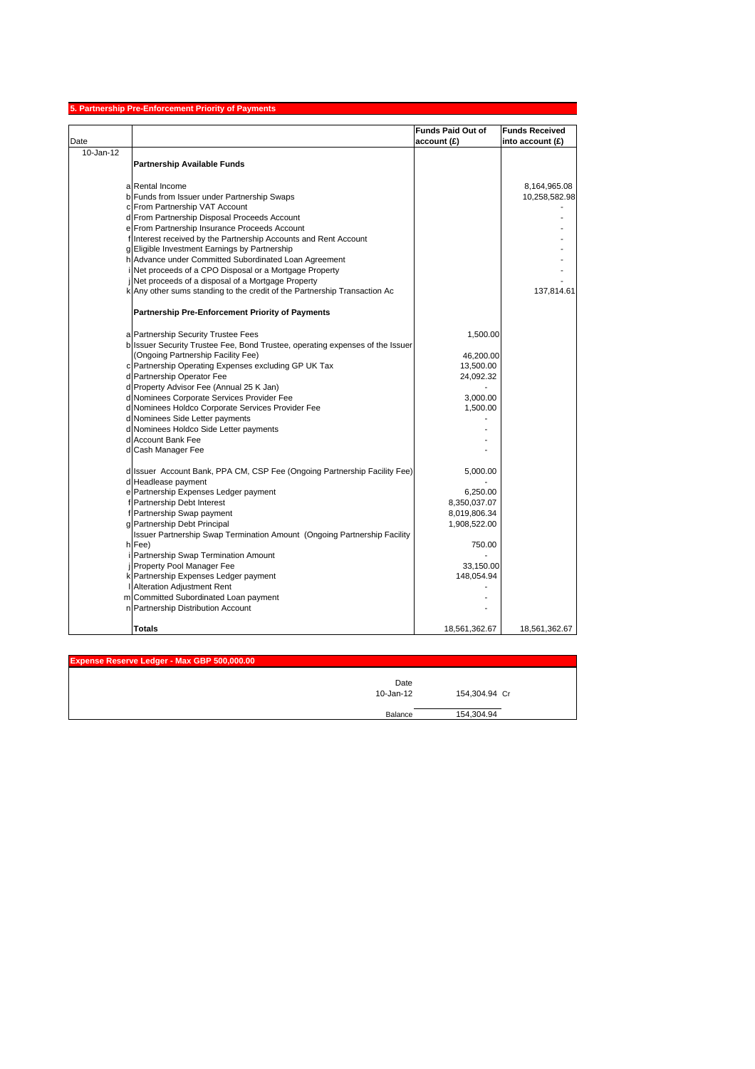| <b>Funds Paid Out of</b><br><b>Funds Received</b><br>account (£)<br>into account $(E)$<br>10-Jan-12<br><b>Partnership Available Funds</b><br>a Rental Income<br>b Funds from Issuer under Partnership Swaps<br>10,258,582.98<br>c From Partnership VAT Account<br>d From Partnership Disposal Proceeds Account<br>e From Partnership Insurance Proceeds Account<br>f Interest received by the Partnership Accounts and Rent Account<br>g Eligible Investment Earnings by Partnership<br>h Advance under Committed Subordinated Loan Agreement<br>Net proceeds of a CPO Disposal or a Mortgage Property<br>Net proceeds of a disposal of a Mortgage Property<br>k Any other sums standing to the credit of the Partnership Transaction Ac<br>137,814.61<br><b>Partnership Pre-Enforcement Priority of Payments</b><br>a Partnership Security Trustee Fees<br>1,500.00<br>b Issuer Security Trustee Fee, Bond Trustee, operating expenses of the Issuer<br>(Ongoing Partnership Facility Fee)<br>46,200.00<br>c Partnership Operating Expenses excluding GP UK Tax<br>13,500.00<br>d Partnership Operator Fee<br>24,092.32<br>d Property Advisor Fee (Annual 25 K Jan)<br>d Nominees Corporate Services Provider Fee<br>3,000.00<br>d Nominees Holdco Corporate Services Provider Fee<br>1,500.00<br>d Nominees Side Letter payments<br>d Nominees Holdco Side Letter payments<br>d Account Bank Fee<br>d Cash Manager Fee<br>d Issuer Account Bank, PPA CM, CSP Fee (Ongoing Partnership Facility Fee)<br>5,000.00<br>d Headlease payment<br>e Partnership Expenses Ledger payment<br>6,250.00<br>f Partnership Debt Interest<br>8,350,037.07<br>f Partnership Swap payment<br>8,019,806.34<br>g Partnership Debt Principal<br>1,908,522.00<br>Issuer Partnership Swap Termination Amount (Ongoing Partnership Facility<br>h Fee)<br>750.00<br>Partnership Swap Termination Amount<br>Property Pool Manager Fee<br>33,150.00<br>k Partnership Expenses Ledger payment<br>148,054.94<br>Alteration Adjustment Rent<br>m Committed Subordinated Loan payment<br>n Partnership Distribution Account |      | 5. Partnership Pre-Enforcement Priority of Payments |               |
|-------------------------------------------------------------------------------------------------------------------------------------------------------------------------------------------------------------------------------------------------------------------------------------------------------------------------------------------------------------------------------------------------------------------------------------------------------------------------------------------------------------------------------------------------------------------------------------------------------------------------------------------------------------------------------------------------------------------------------------------------------------------------------------------------------------------------------------------------------------------------------------------------------------------------------------------------------------------------------------------------------------------------------------------------------------------------------------------------------------------------------------------------------------------------------------------------------------------------------------------------------------------------------------------------------------------------------------------------------------------------------------------------------------------------------------------------------------------------------------------------------------------------------------------------------------------------------------------------------------------------------------------------------------------------------------------------------------------------------------------------------------------------------------------------------------------------------------------------------------------------------------------------------------------------------------------------------------------------------------------------------------------------------------------------------------------------------------------------|------|-----------------------------------------------------|---------------|
|                                                                                                                                                                                                                                                                                                                                                                                                                                                                                                                                                                                                                                                                                                                                                                                                                                                                                                                                                                                                                                                                                                                                                                                                                                                                                                                                                                                                                                                                                                                                                                                                                                                                                                                                                                                                                                                                                                                                                                                                                                                                                                 |      |                                                     |               |
|                                                                                                                                                                                                                                                                                                                                                                                                                                                                                                                                                                                                                                                                                                                                                                                                                                                                                                                                                                                                                                                                                                                                                                                                                                                                                                                                                                                                                                                                                                                                                                                                                                                                                                                                                                                                                                                                                                                                                                                                                                                                                                 | Date |                                                     |               |
|                                                                                                                                                                                                                                                                                                                                                                                                                                                                                                                                                                                                                                                                                                                                                                                                                                                                                                                                                                                                                                                                                                                                                                                                                                                                                                                                                                                                                                                                                                                                                                                                                                                                                                                                                                                                                                                                                                                                                                                                                                                                                                 |      |                                                     |               |
|                                                                                                                                                                                                                                                                                                                                                                                                                                                                                                                                                                                                                                                                                                                                                                                                                                                                                                                                                                                                                                                                                                                                                                                                                                                                                                                                                                                                                                                                                                                                                                                                                                                                                                                                                                                                                                                                                                                                                                                                                                                                                                 |      |                                                     |               |
|                                                                                                                                                                                                                                                                                                                                                                                                                                                                                                                                                                                                                                                                                                                                                                                                                                                                                                                                                                                                                                                                                                                                                                                                                                                                                                                                                                                                                                                                                                                                                                                                                                                                                                                                                                                                                                                                                                                                                                                                                                                                                                 |      |                                                     |               |
|                                                                                                                                                                                                                                                                                                                                                                                                                                                                                                                                                                                                                                                                                                                                                                                                                                                                                                                                                                                                                                                                                                                                                                                                                                                                                                                                                                                                                                                                                                                                                                                                                                                                                                                                                                                                                                                                                                                                                                                                                                                                                                 |      |                                                     | 8,164,965.08  |
|                                                                                                                                                                                                                                                                                                                                                                                                                                                                                                                                                                                                                                                                                                                                                                                                                                                                                                                                                                                                                                                                                                                                                                                                                                                                                                                                                                                                                                                                                                                                                                                                                                                                                                                                                                                                                                                                                                                                                                                                                                                                                                 |      |                                                     |               |
|                                                                                                                                                                                                                                                                                                                                                                                                                                                                                                                                                                                                                                                                                                                                                                                                                                                                                                                                                                                                                                                                                                                                                                                                                                                                                                                                                                                                                                                                                                                                                                                                                                                                                                                                                                                                                                                                                                                                                                                                                                                                                                 |      |                                                     |               |
|                                                                                                                                                                                                                                                                                                                                                                                                                                                                                                                                                                                                                                                                                                                                                                                                                                                                                                                                                                                                                                                                                                                                                                                                                                                                                                                                                                                                                                                                                                                                                                                                                                                                                                                                                                                                                                                                                                                                                                                                                                                                                                 |      |                                                     |               |
|                                                                                                                                                                                                                                                                                                                                                                                                                                                                                                                                                                                                                                                                                                                                                                                                                                                                                                                                                                                                                                                                                                                                                                                                                                                                                                                                                                                                                                                                                                                                                                                                                                                                                                                                                                                                                                                                                                                                                                                                                                                                                                 |      |                                                     |               |
|                                                                                                                                                                                                                                                                                                                                                                                                                                                                                                                                                                                                                                                                                                                                                                                                                                                                                                                                                                                                                                                                                                                                                                                                                                                                                                                                                                                                                                                                                                                                                                                                                                                                                                                                                                                                                                                                                                                                                                                                                                                                                                 |      |                                                     |               |
|                                                                                                                                                                                                                                                                                                                                                                                                                                                                                                                                                                                                                                                                                                                                                                                                                                                                                                                                                                                                                                                                                                                                                                                                                                                                                                                                                                                                                                                                                                                                                                                                                                                                                                                                                                                                                                                                                                                                                                                                                                                                                                 |      |                                                     |               |
|                                                                                                                                                                                                                                                                                                                                                                                                                                                                                                                                                                                                                                                                                                                                                                                                                                                                                                                                                                                                                                                                                                                                                                                                                                                                                                                                                                                                                                                                                                                                                                                                                                                                                                                                                                                                                                                                                                                                                                                                                                                                                                 |      |                                                     |               |
|                                                                                                                                                                                                                                                                                                                                                                                                                                                                                                                                                                                                                                                                                                                                                                                                                                                                                                                                                                                                                                                                                                                                                                                                                                                                                                                                                                                                                                                                                                                                                                                                                                                                                                                                                                                                                                                                                                                                                                                                                                                                                                 |      |                                                     |               |
|                                                                                                                                                                                                                                                                                                                                                                                                                                                                                                                                                                                                                                                                                                                                                                                                                                                                                                                                                                                                                                                                                                                                                                                                                                                                                                                                                                                                                                                                                                                                                                                                                                                                                                                                                                                                                                                                                                                                                                                                                                                                                                 |      |                                                     |               |
|                                                                                                                                                                                                                                                                                                                                                                                                                                                                                                                                                                                                                                                                                                                                                                                                                                                                                                                                                                                                                                                                                                                                                                                                                                                                                                                                                                                                                                                                                                                                                                                                                                                                                                                                                                                                                                                                                                                                                                                                                                                                                                 |      |                                                     |               |
|                                                                                                                                                                                                                                                                                                                                                                                                                                                                                                                                                                                                                                                                                                                                                                                                                                                                                                                                                                                                                                                                                                                                                                                                                                                                                                                                                                                                                                                                                                                                                                                                                                                                                                                                                                                                                                                                                                                                                                                                                                                                                                 |      |                                                     |               |
|                                                                                                                                                                                                                                                                                                                                                                                                                                                                                                                                                                                                                                                                                                                                                                                                                                                                                                                                                                                                                                                                                                                                                                                                                                                                                                                                                                                                                                                                                                                                                                                                                                                                                                                                                                                                                                                                                                                                                                                                                                                                                                 |      |                                                     |               |
|                                                                                                                                                                                                                                                                                                                                                                                                                                                                                                                                                                                                                                                                                                                                                                                                                                                                                                                                                                                                                                                                                                                                                                                                                                                                                                                                                                                                                                                                                                                                                                                                                                                                                                                                                                                                                                                                                                                                                                                                                                                                                                 |      |                                                     |               |
|                                                                                                                                                                                                                                                                                                                                                                                                                                                                                                                                                                                                                                                                                                                                                                                                                                                                                                                                                                                                                                                                                                                                                                                                                                                                                                                                                                                                                                                                                                                                                                                                                                                                                                                                                                                                                                                                                                                                                                                                                                                                                                 |      |                                                     |               |
|                                                                                                                                                                                                                                                                                                                                                                                                                                                                                                                                                                                                                                                                                                                                                                                                                                                                                                                                                                                                                                                                                                                                                                                                                                                                                                                                                                                                                                                                                                                                                                                                                                                                                                                                                                                                                                                                                                                                                                                                                                                                                                 |      |                                                     |               |
|                                                                                                                                                                                                                                                                                                                                                                                                                                                                                                                                                                                                                                                                                                                                                                                                                                                                                                                                                                                                                                                                                                                                                                                                                                                                                                                                                                                                                                                                                                                                                                                                                                                                                                                                                                                                                                                                                                                                                                                                                                                                                                 |      |                                                     |               |
|                                                                                                                                                                                                                                                                                                                                                                                                                                                                                                                                                                                                                                                                                                                                                                                                                                                                                                                                                                                                                                                                                                                                                                                                                                                                                                                                                                                                                                                                                                                                                                                                                                                                                                                                                                                                                                                                                                                                                                                                                                                                                                 |      |                                                     |               |
|                                                                                                                                                                                                                                                                                                                                                                                                                                                                                                                                                                                                                                                                                                                                                                                                                                                                                                                                                                                                                                                                                                                                                                                                                                                                                                                                                                                                                                                                                                                                                                                                                                                                                                                                                                                                                                                                                                                                                                                                                                                                                                 |      |                                                     |               |
|                                                                                                                                                                                                                                                                                                                                                                                                                                                                                                                                                                                                                                                                                                                                                                                                                                                                                                                                                                                                                                                                                                                                                                                                                                                                                                                                                                                                                                                                                                                                                                                                                                                                                                                                                                                                                                                                                                                                                                                                                                                                                                 |      |                                                     |               |
|                                                                                                                                                                                                                                                                                                                                                                                                                                                                                                                                                                                                                                                                                                                                                                                                                                                                                                                                                                                                                                                                                                                                                                                                                                                                                                                                                                                                                                                                                                                                                                                                                                                                                                                                                                                                                                                                                                                                                                                                                                                                                                 |      |                                                     |               |
|                                                                                                                                                                                                                                                                                                                                                                                                                                                                                                                                                                                                                                                                                                                                                                                                                                                                                                                                                                                                                                                                                                                                                                                                                                                                                                                                                                                                                                                                                                                                                                                                                                                                                                                                                                                                                                                                                                                                                                                                                                                                                                 |      |                                                     |               |
|                                                                                                                                                                                                                                                                                                                                                                                                                                                                                                                                                                                                                                                                                                                                                                                                                                                                                                                                                                                                                                                                                                                                                                                                                                                                                                                                                                                                                                                                                                                                                                                                                                                                                                                                                                                                                                                                                                                                                                                                                                                                                                 |      |                                                     |               |
|                                                                                                                                                                                                                                                                                                                                                                                                                                                                                                                                                                                                                                                                                                                                                                                                                                                                                                                                                                                                                                                                                                                                                                                                                                                                                                                                                                                                                                                                                                                                                                                                                                                                                                                                                                                                                                                                                                                                                                                                                                                                                                 |      |                                                     |               |
|                                                                                                                                                                                                                                                                                                                                                                                                                                                                                                                                                                                                                                                                                                                                                                                                                                                                                                                                                                                                                                                                                                                                                                                                                                                                                                                                                                                                                                                                                                                                                                                                                                                                                                                                                                                                                                                                                                                                                                                                                                                                                                 |      |                                                     |               |
|                                                                                                                                                                                                                                                                                                                                                                                                                                                                                                                                                                                                                                                                                                                                                                                                                                                                                                                                                                                                                                                                                                                                                                                                                                                                                                                                                                                                                                                                                                                                                                                                                                                                                                                                                                                                                                                                                                                                                                                                                                                                                                 |      |                                                     |               |
|                                                                                                                                                                                                                                                                                                                                                                                                                                                                                                                                                                                                                                                                                                                                                                                                                                                                                                                                                                                                                                                                                                                                                                                                                                                                                                                                                                                                                                                                                                                                                                                                                                                                                                                                                                                                                                                                                                                                                                                                                                                                                                 |      |                                                     |               |
|                                                                                                                                                                                                                                                                                                                                                                                                                                                                                                                                                                                                                                                                                                                                                                                                                                                                                                                                                                                                                                                                                                                                                                                                                                                                                                                                                                                                                                                                                                                                                                                                                                                                                                                                                                                                                                                                                                                                                                                                                                                                                                 |      |                                                     |               |
|                                                                                                                                                                                                                                                                                                                                                                                                                                                                                                                                                                                                                                                                                                                                                                                                                                                                                                                                                                                                                                                                                                                                                                                                                                                                                                                                                                                                                                                                                                                                                                                                                                                                                                                                                                                                                                                                                                                                                                                                                                                                                                 |      |                                                     |               |
|                                                                                                                                                                                                                                                                                                                                                                                                                                                                                                                                                                                                                                                                                                                                                                                                                                                                                                                                                                                                                                                                                                                                                                                                                                                                                                                                                                                                                                                                                                                                                                                                                                                                                                                                                                                                                                                                                                                                                                                                                                                                                                 |      |                                                     |               |
|                                                                                                                                                                                                                                                                                                                                                                                                                                                                                                                                                                                                                                                                                                                                                                                                                                                                                                                                                                                                                                                                                                                                                                                                                                                                                                                                                                                                                                                                                                                                                                                                                                                                                                                                                                                                                                                                                                                                                                                                                                                                                                 |      |                                                     |               |
|                                                                                                                                                                                                                                                                                                                                                                                                                                                                                                                                                                                                                                                                                                                                                                                                                                                                                                                                                                                                                                                                                                                                                                                                                                                                                                                                                                                                                                                                                                                                                                                                                                                                                                                                                                                                                                                                                                                                                                                                                                                                                                 |      |                                                     |               |
|                                                                                                                                                                                                                                                                                                                                                                                                                                                                                                                                                                                                                                                                                                                                                                                                                                                                                                                                                                                                                                                                                                                                                                                                                                                                                                                                                                                                                                                                                                                                                                                                                                                                                                                                                                                                                                                                                                                                                                                                                                                                                                 |      |                                                     |               |
|                                                                                                                                                                                                                                                                                                                                                                                                                                                                                                                                                                                                                                                                                                                                                                                                                                                                                                                                                                                                                                                                                                                                                                                                                                                                                                                                                                                                                                                                                                                                                                                                                                                                                                                                                                                                                                                                                                                                                                                                                                                                                                 |      |                                                     |               |
|                                                                                                                                                                                                                                                                                                                                                                                                                                                                                                                                                                                                                                                                                                                                                                                                                                                                                                                                                                                                                                                                                                                                                                                                                                                                                                                                                                                                                                                                                                                                                                                                                                                                                                                                                                                                                                                                                                                                                                                                                                                                                                 |      |                                                     |               |
|                                                                                                                                                                                                                                                                                                                                                                                                                                                                                                                                                                                                                                                                                                                                                                                                                                                                                                                                                                                                                                                                                                                                                                                                                                                                                                                                                                                                                                                                                                                                                                                                                                                                                                                                                                                                                                                                                                                                                                                                                                                                                                 |      |                                                     |               |
|                                                                                                                                                                                                                                                                                                                                                                                                                                                                                                                                                                                                                                                                                                                                                                                                                                                                                                                                                                                                                                                                                                                                                                                                                                                                                                                                                                                                                                                                                                                                                                                                                                                                                                                                                                                                                                                                                                                                                                                                                                                                                                 |      |                                                     |               |
|                                                                                                                                                                                                                                                                                                                                                                                                                                                                                                                                                                                                                                                                                                                                                                                                                                                                                                                                                                                                                                                                                                                                                                                                                                                                                                                                                                                                                                                                                                                                                                                                                                                                                                                                                                                                                                                                                                                                                                                                                                                                                                 |      |                                                     |               |
|                                                                                                                                                                                                                                                                                                                                                                                                                                                                                                                                                                                                                                                                                                                                                                                                                                                                                                                                                                                                                                                                                                                                                                                                                                                                                                                                                                                                                                                                                                                                                                                                                                                                                                                                                                                                                                                                                                                                                                                                                                                                                                 |      |                                                     |               |
| <b>Totals</b><br>18,561,362.67                                                                                                                                                                                                                                                                                                                                                                                                                                                                                                                                                                                                                                                                                                                                                                                                                                                                                                                                                                                                                                                                                                                                                                                                                                                                                                                                                                                                                                                                                                                                                                                                                                                                                                                                                                                                                                                                                                                                                                                                                                                                  |      |                                                     | 18,561,362.67 |

| Expense Reserve Ledger - Max GBP 500,000.00 |           |               |
|---------------------------------------------|-----------|---------------|
|                                             | Date      |               |
|                                             | 10-Jan-12 | 154,304.94 Cr |
|                                             | Balance   | 154,304.94    |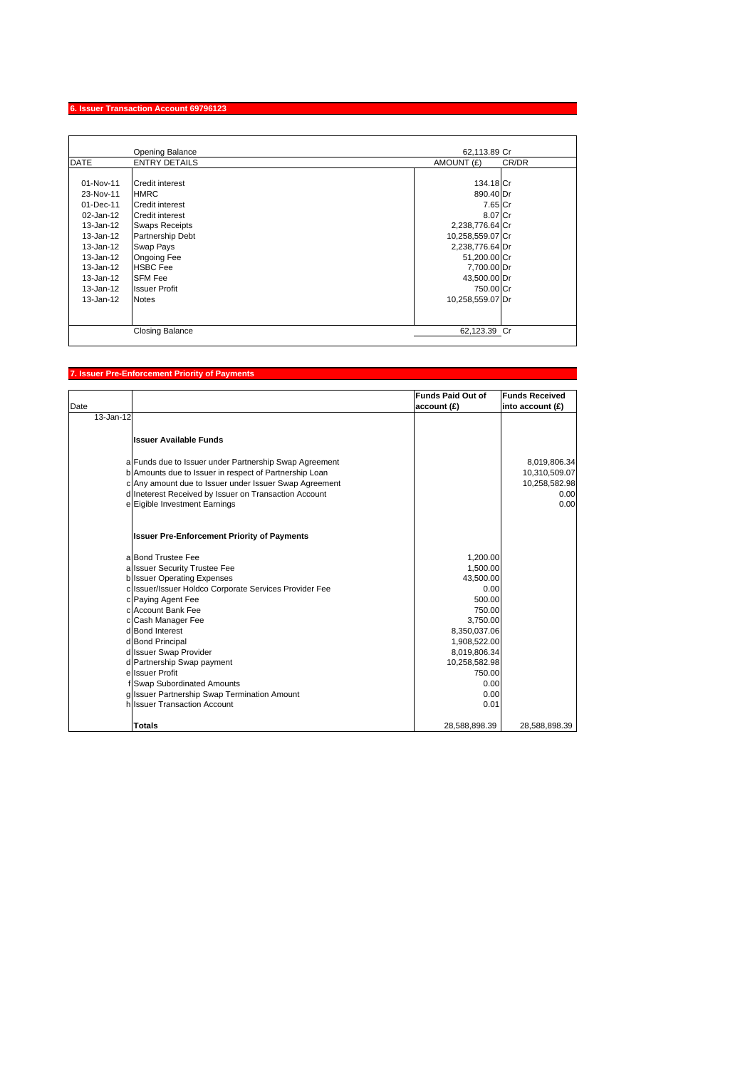# **6. Issuer Transaction Account 69796123**

|               | Opening Balance         | 62,113.89 Cr        |
|---------------|-------------------------|---------------------|
| <b>DATE</b>   | <b>ENTRY DETAILS</b>    | AMOUNT (£)<br>CR/DR |
|               |                         |                     |
| 01-Nov-11     | Credit interest         | 134.18 Cr           |
| 23-Nov-11     | <b>HMRC</b>             | 890.40 Dr           |
| 01-Dec-11     | Credit interest         | 7.65 Cr             |
| $02 - Jan-12$ | Credit interest         | 8.07 Cr             |
| 13-Jan-12     | <b>Swaps Receipts</b>   | 2,238,776.64 Cr     |
| 13-Jan-12     | <b>Partnership Debt</b> | 10,258,559.07 Cr    |
| 13-Jan-12     | <b>Swap Pays</b>        | 2,238,776.64 Dr     |
| 13-Jan-12     | <b>Ongoing Fee</b>      | 51,200.00 Cr        |
| 13-Jan-12     | <b>HSBC</b> Fee         | 7,700.00 Dr         |
| 13-Jan-12     | <b>SFM Fee</b>          | 43,500.00 Dr        |
| 13-Jan-12     | <b>Issuer Profit</b>    | 750.00 Cr           |
| 13-Jan-12     | <b>Notes</b>            | 10,258,559.07 Dr    |
|               |                         |                     |
|               |                         |                     |
|               | <b>Closing Balance</b>  | 62,123.39 Cr        |

#### **7. Issuer Pre-Enforcement Priority of Payments**

| Date          |                                                                             | <b>Funds Paid Out of</b><br>account (£) | <b>Funds Received</b><br>into account (£) |
|---------------|-----------------------------------------------------------------------------|-----------------------------------------|-------------------------------------------|
| $13 - Jan-12$ |                                                                             |                                         |                                           |
|               | <b>Issuer Available Funds</b>                                               |                                         |                                           |
|               | a Funds due to Issuer under Partnership Swap Agreement                      |                                         | 8,019,806.34                              |
|               | b Amounts due to Issuer in respect of Partnership Loan                      |                                         | 10,310,509.07                             |
|               | c Any amount due to Issuer under Issuer Swap Agreement                      |                                         | 10,258,582.98                             |
|               | d Ineterest Received by Issuer on Transaction Account                       |                                         | 0.00                                      |
|               | e Eigible Investment Earnings                                               |                                         | 0.00                                      |
|               | <b>Issuer Pre-Enforcement Priority of Payments</b>                          |                                         |                                           |
|               | a Bond Trustee Fee                                                          | 1,200.00                                |                                           |
|               | a Issuer Security Trustee Fee                                               | 1,500.00                                |                                           |
|               | <b>b</b> Issuer Operating Expenses                                          | 43,500.00                               |                                           |
|               | c Issuer/Issuer Holdco Corporate Services Provider Fee                      | 0.00                                    |                                           |
|               | c Paying Agent Fee                                                          | 500.00                                  |                                           |
|               | c Account Bank Fee                                                          | 750.00                                  |                                           |
|               | c Cash Manager Fee                                                          | 3,750.00                                |                                           |
|               | d Bond Interest                                                             | 8,350,037.06                            |                                           |
|               | d Bond Principal                                                            | 1,908,522.00                            |                                           |
|               | d Issuer Swap Provider                                                      | 8,019,806.34                            |                                           |
|               | d Partnership Swap payment<br>e Issuer Profit                               | 10,258,582.98                           |                                           |
|               |                                                                             | 750.00<br>0.00                          |                                           |
|               | f Swap Subordinated Amounts<br>g Issuer Partnership Swap Termination Amount | 0.00                                    |                                           |
|               | h Issuer Transaction Account                                                | 0.01                                    |                                           |
|               |                                                                             |                                         |                                           |
|               | <b>Totals</b>                                                               | 28,588,898.39                           | 28,588,898.39                             |